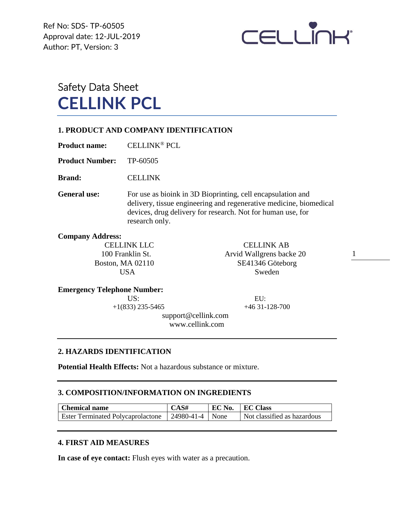Ref No: SDS- TP-60505 Approval date: 12-JUL-2019 Author: PT, Version: 3



# Safety Data Sheet **CELLINK PCL**

### **1. PRODUCT AND COMPANY IDENTIFICATION**

**Product name:** CELLINK® PCL

**Product Number:** TP-60505

**Brand:** CELLINK

**General use:** For use as bioink in 3D Bioprinting, cell encapsulation and delivery, tissue engineering and regenerative medicine, biomedical devices, drug delivery for research. Not for human use, for research only.

**Company Address:**

CELLINK LLC CELLINK AB 100 Franklin St. Arvid Wallgrens backe 20 Boston, MA 02110 SE41346 Göteborg USA Sweden

1

#### **Emergency Telephone Number:**

US: EU:

 $+1(833)$  235-5465  $+46$  31-128-700

 support@cellink.com www.cellink.com

## **2. HAZARDS IDENTIFICATION**

**Potential Health Effects:** Not a hazardous substance or mixture.

### **3. COMPOSITION/INFORMATION ON INGREDIENTS**

| <b>Chemical name</b>                     | CAS#              | EC No. | EC Class                    |
|------------------------------------------|-------------------|--------|-----------------------------|
| <b>Ester Terminated Polycaprolactone</b> | 24980-41-4   None |        | Not classified as hazardous |

## **4. FIRST AID MEASURES**

**In case of eye contact:** Flush eyes with water as a precaution.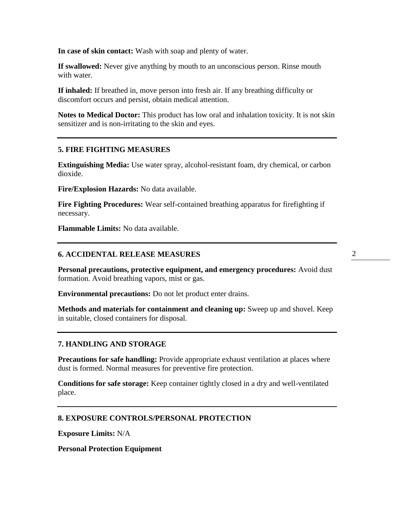**In case of skin contact:** Wash with soap and plenty of water.

**If swallowed:** Never give anything by mouth to an unconscious person. Rinse mouth with water.

**If inhaled:** If breathed in, move person into fresh air. If any breathing difficulty or discomfort occurs and persist, obtain medical attention.

**Notes to Medical Doctor:** This product has low oral and inhalation toxicity. It is not skin sensitizer and is non-irritating to the skin and eyes.

## **5. FIRE FIGHTING MEASURES**

**Extinguishing Media:** Use water spray, alcohol-resistant foam, dry chemical, or carbon dioxide.

**Fire/Explosion Hazards:** No data available.

**Fire Fighting Procedures:** Wear self-contained breathing apparatus for firefighting if necessary.

**Flammable Limits:** No data available.

#### **6. ACCIDENTAL RELEASE MEASURES**

**Personal precautions, protective equipment, and emergency procedures:** Avoid dust formation. Avoid breathing vapors, mist or gas.

**Environmental precautions:** Do not let product enter drains.

**Methods and materials for containment and cleaning up:** Sweep up and shovel. Keep in suitable, closed containers for disposal.

#### **7. HANDLING AND STORAGE**

**Precautions for safe handling:** Provide appropriate exhaust ventilation at places where dust is formed. Normal measures for preventive fire protection.

**Conditions for safe storage:** Keep container tightly closed in a dry and well-ventilated place.

### **8. EXPOSURE CONTROLS/PERSONAL PROTECTION**

**Exposure Limits:** N/A

**Personal Protection Equipment**

2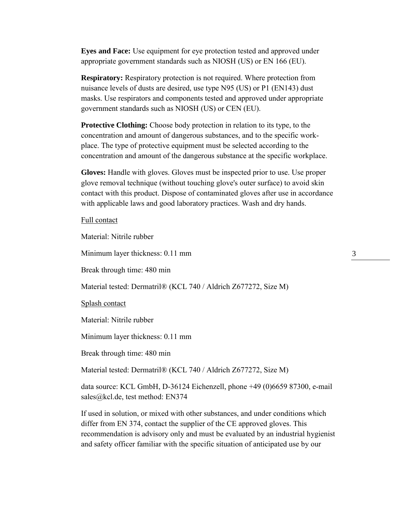**Eyes and Face:** Use equipment for eye protection tested and approved under appropriate government standards such as NIOSH (US) or EN 166 (EU).

**Respiratory:** Respiratory protection is not required. Where protection from nuisance levels of dusts are desired, use type N95 (US) or P1 (EN143) dust masks. Use respirators and components tested and approved under appropriate government standards such as NIOSH (US) or CEN (EU).

**Protective Clothing:** Choose body protection in relation to its type, to the concentration and amount of dangerous substances, and to the specific workplace. The type of protective equipment must be selected according to the concentration and amount of the dangerous substance at the specific workplace.

**Gloves:** Handle with gloves. Gloves must be inspected prior to use. Use proper glove removal technique (without touching glove's outer surface) to avoid skin contact with this product. Dispose of contaminated gloves after use in accordance with applicable laws and good laboratory practices. Wash and dry hands.

#### Full contact

Material: Nitrile rubber

Minimum layer thickness: 0.11 mm

Break through time: 480 min

Material tested: Dermatril® (KCL 740 / Aldrich Z677272, Size M)

Splash contact

Material: Nitrile rubber

Minimum layer thickness: 0.11 mm

Break through time: 480 min

Material tested: Dermatril® (KCL 740 / Aldrich Z677272, Size M)

data source: KCL GmbH, D-36124 Eichenzell, phone +49 (0)6659 87300, e-mail sales@kcl.de, test method: EN374

If used in solution, or mixed with other substances, and under conditions which differ from EN 374, contact the supplier of the CE approved gloves. This recommendation is advisory only and must be evaluated by an industrial hygienist and safety officer familiar with the specific situation of anticipated use by our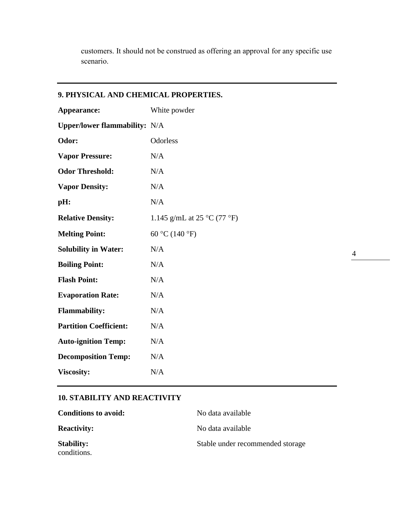customers. It should not be construed as offering an approval for any specific use scenario.

# **9. PHYSICAL AND CHEMICAL PROPERTIES. Appearance:** White powder **Upper/lower flammability:** N/A **Odor:** Odorless **Vapor Pressure:** N/A **Odor Threshold:** N/A **Vapor Density:** N/A **pH:** N/A **Relative Density:** 1.145 g/mL at 25 °C (77 °F) **Melting Point:** 60 °C (140 °F) **Solubility in Water:** N/A **Boiling Point:** N/A Flash Point: N/A **Evaporation Rate:** N/A **Flammability:** N/A **Partition Coefficient:** N/A **Auto-ignition Temp:** N/A **Decomposition Temp:** N/A **Viscosity:** N/A

## **10. STABILITY AND REACTIVITY**

| <b>Conditions to avoid:</b>      | No data available                |
|----------------------------------|----------------------------------|
| <b>Reactivity:</b>               | No data available                |
| <b>Stability:</b><br>conditions. | Stable under recommended storage |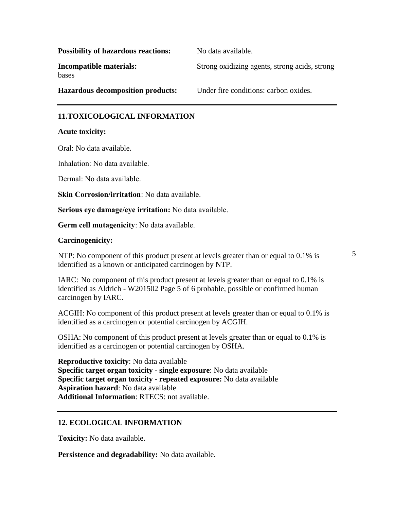| <b>Possibility of hazardous reactions:</b> | No data available.                            |
|--------------------------------------------|-----------------------------------------------|
| Incompatible materials:<br>bases           | Strong oxidizing agents, strong acids, strong |
| <b>Hazardous decomposition products:</b>   | Under fire conditions: carbon oxides.         |

### **11.TOXICOLOGICAL INFORMATION**

#### **Acute toxicity:**

Oral: No data available.

Inhalation: No data available.

Dermal: No data available.

**Skin Corrosion/irritation**: No data available.

**Serious eye damage/eye irritation:** No data available.

**Germ cell mutagenicity**: No data available.

#### **Carcinogenicity:**

NTP: No component of this product present at levels greater than or equal to 0.1% is identified as a known or anticipated carcinogen by NTP.

5

IARC: No component of this product present at levels greater than or equal to 0.1% is identified as Aldrich - W201502 Page 5 of 6 probable, possible or confirmed human carcinogen by IARC.

ACGIH: No component of this product present at levels greater than or equal to 0.1% is identified as a carcinogen or potential carcinogen by ACGIH.

OSHA: No component of this product present at levels greater than or equal to 0.1% is identified as a carcinogen or potential carcinogen by OSHA.

**Reproductive toxicity**: No data available **Specific target organ toxicity - single exposure**: No data available **Specific target organ toxicity - repeated exposure:** No data available **Aspiration hazard**: No data available **Additional Information**: RTECS: not available.

## **12. ECOLOGICAL INFORMATION**

**Toxicity:** No data available.

**Persistence and degradability:** No data available.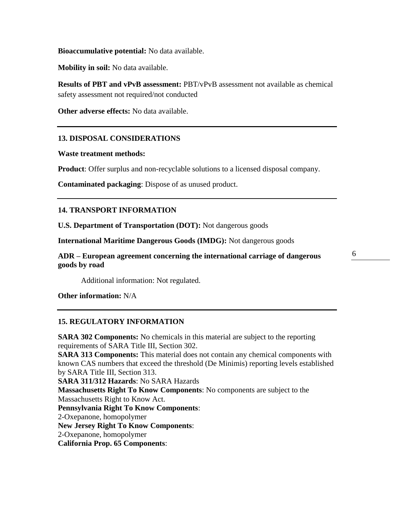**Bioaccumulative potential:** No data available.

**Mobility in soil:** No data available.

**Results of PBT and vPvB assessment:** PBT/vPvB assessment not available as chemical safety assessment not required/not conducted

**Other adverse effects:** No data available.

### **13. DISPOSAL CONSIDERATIONS**

#### **Waste treatment methods:**

**Product**: Offer surplus and non-recyclable solutions to a licensed disposal company.

**Contaminated packaging**: Dispose of as unused product.

### **14. TRANSPORT INFORMATION**

**U.S. Department of Transportation (DOT):** Not dangerous goods

**International Maritime Dangerous Goods (IMDG):** Not dangerous goods

**ADR – European agreement concerning the international carriage of dangerous goods by road** 

Additional information: Not regulated.

**Other information:** N/A

#### **15. REGULATORY INFORMATION**

**SARA 302 Components:** No chemicals in this material are subject to the reporting requirements of SARA Title III, Section 302.

**SARA 313 Components:** This material does not contain any chemical components with known CAS numbers that exceed the threshold (De Minimis) reporting levels established by SARA Title III, Section 313.

**SARA 311/312 Hazards**: No SARA Hazards **Massachusetts Right To Know Components**: No components are subject to the Massachusetts Right to Know Act. **Pennsylvania Right To Know Components**: 2-Oxepanone, homopolymer **New Jersey Right To Know Components**: 2-Oxepanone, homopolymer **California Prop. 65 Components**: